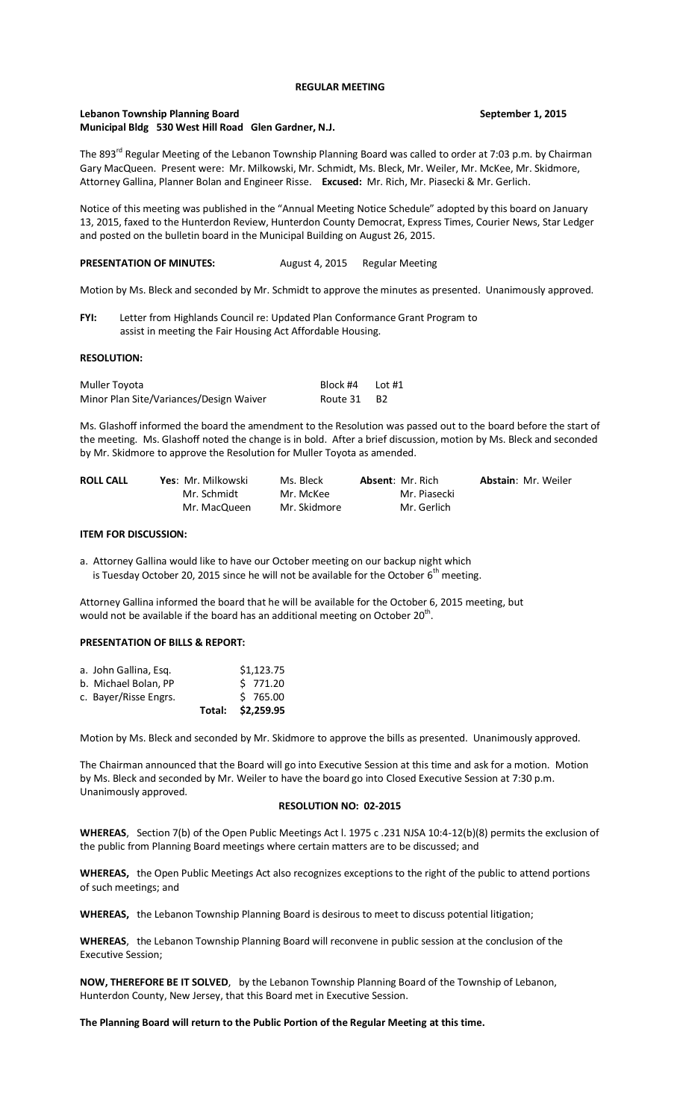#### **REGULAR MEETING**

# **Lebanon Township Planning Board September 1, 2015 Municipal Bldg 530 West Hill Road Glen Gardner, N.J.**

The 893<sup>rd</sup> Regular Meeting of the Lebanon Township Planning Board was called to order at 7:03 p.m. by Chairman Gary MacQueen. Present were: Mr. Milkowski, Mr. Schmidt, Ms. Bleck, Mr. Weiler, Mr. McKee, Mr. Skidmore, Attorney Gallina, Planner Bolan and Engineer Risse. **Excused:** Mr. Rich, Mr. Piasecki & Mr. Gerlich.

Notice of this meeting was published in the "Annual Meeting Notice Schedule" adopted by this board on January 13, 2015, faxed to the Hunterdon Review, Hunterdon County Democrat, Express Times, Courier News, Star Ledger and posted on the bulletin board in the Municipal Building on August 26, 2015.

## PRESENTATION OF MINUTES: August 4, 2015 Regular Meeting

Motion by Ms. Bleck and seconded by Mr. Schmidt to approve the minutes as presented. Unanimously approved.

**FYI:** Letter from Highlands Council re: Updated Plan Conformance Grant Program to assist in meeting the Fair Housing Act Affordable Housing.

#### **RESOLUTION:**

| Muller Toyota                           | Block #4 | Lot #1 |
|-----------------------------------------|----------|--------|
| Minor Plan Site/Variances/Design Waiver | Route 31 | - B2   |

Ms. Glashoff informed the board the amendment to the Resolution was passed out to the board before the start of the meeting. Ms. Glashoff noted the change is in bold. After a brief discussion, motion by Ms. Bleck and seconded by Mr. Skidmore to approve the Resolution for Muller Toyota as amended.

| <b>ROLL CALL</b> | Yes: Mr. Milkowski | Ms. Bleck    | <b>Absent: Mr. Rich</b> | <b>Abstain: Mr. Weiler</b> |
|------------------|--------------------|--------------|-------------------------|----------------------------|
|                  | Mr. Schmidt        | Mr. McKee    | Mr. Piasecki            |                            |
|                  | Mr. MacQueen       | Mr. Skidmore | Mr. Gerlich             |                            |

#### **ITEM FOR DISCUSSION:**

a. Attorney Gallina would like to have our October meeting on our backup night which is Tuesday October 20, 2015 since he will not be available for the October  $6<sup>th</sup>$  meeting.

Attorney Gallina informed the board that he will be available for the October 6, 2015 meeting, but would not be available if the board has an additional meeting on October 20<sup>th</sup>.

## **PRESENTATION OF BILLS & REPORT:**

|                       |  | Total: \$2,259.95 |
|-----------------------|--|-------------------|
| c. Bayer/Risse Engrs. |  | 5765.00           |
| b. Michael Bolan. PP  |  | $5$ 771.20        |
| a. John Gallina, Esg. |  | \$1,123.75        |

Motion by Ms. Bleck and seconded by Mr. Skidmore to approve the bills as presented. Unanimously approved.

The Chairman announced that the Board will go into Executive Session at this time and ask for a motion. Motion by Ms. Bleck and seconded by Mr. Weiler to have the board go into Closed Executive Session at 7:30 p.m. Unanimously approved.

### **RESOLUTION NO: 02-2015**

**WHEREAS**, Section 7(b) of the Open Public Meetings Act l. 1975 c .231 NJSA 10:4-12(b)(8) permits the exclusion of the public from Planning Board meetings where certain matters are to be discussed; and

**WHEREAS,** the Open Public Meetings Act also recognizes exceptions to the right of the public to attend portions of such meetings; and

**WHEREAS,** the Lebanon Township Planning Board is desirous to meet to discuss potential litigation;

**WHEREAS**, the Lebanon Township Planning Board will reconvene in public session at the conclusion of the Executive Session;

**NOW, THEREFORE BE IT SOLVED**, by the Lebanon Township Planning Board of the Township of Lebanon, Hunterdon County, New Jersey, that this Board met in Executive Session.

#### **The Planning Board will return to the Public Portion of the Regular Meeting at this time.**